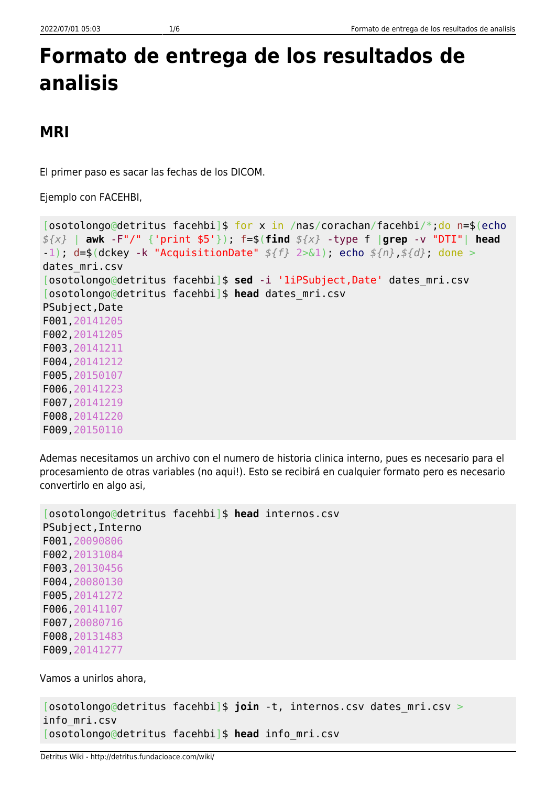# **Formato de entrega de los resultados de analisis**

# **MRI**

El primer paso es sacar las fechas de los DICOM.

Ejemplo con FACEHBI,

```
[osotolongo@detritus facehbi]$ for x in /nas/corachan/facehbi/*;do n=$(echo
${x} | awk -F"/" {'print $5'}); f=$(find ${x} -type f |grep -v "DTI"| head
-1); d=$(dckey -k "AcquisitionDate" ${f} 2>&1); echo ${n},${d}; done >
dates_mri.csv
[osotolongo@detritus facehbi]$ sed -i '1iPSubject,Date' dates_mri.csv
[osotolongo@detritus facehbi]$ head dates_mri.csv
PSubject,Date
F001,20141205
F002,20141205
F003,20141211
F004,20141212
F005,20150107
F006,20141223
F007,20141219
F008,20141220
F009,20150110
```
Ademas necesitamos un archivo con el numero de historia clinica interno, pues es necesario para el procesamiento de otras variables (no aqui!). Esto se recibirá en cualquier formato pero es necesario convertirlo en algo asi,

```
[osotolongo@detritus facehbi]$ head internos.csv
PSubject,Interno
F001,20090806
F002,20131084
F003,20130456
F004,20080130
F005,20141272
F006,20141107
F007,20080716
F008,20131483
F009,20141277
```
Vamos a unirlos ahora,

```
[osotolongo@detritus facehbi]$ join -t, internos.csv dates_mri.csv >
info_mri.csv
[osotolongo@detritus facehbi]$ head info_mri.csv
```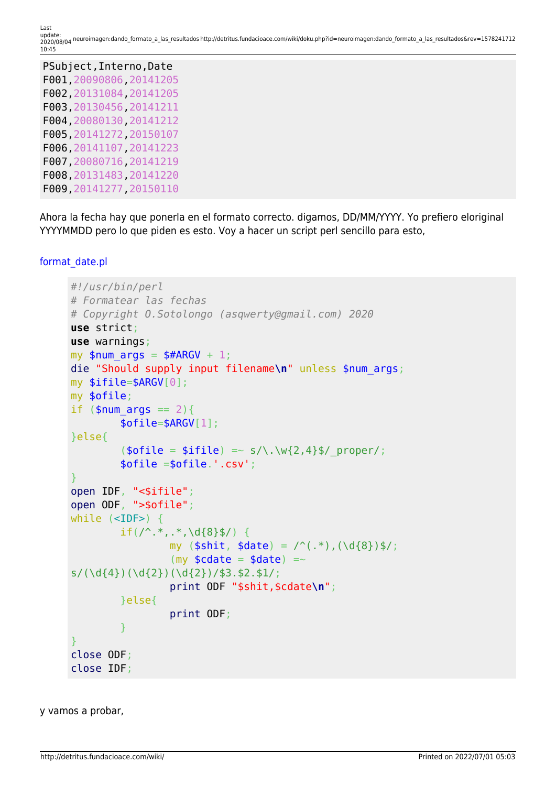| PSubject, Interno, Date  |
|--------------------------|
| F001, 20090806, 20141205 |
| F002, 20131084, 20141205 |
| F003, 20130456, 20141211 |
| F004, 20080130, 20141212 |
| F005, 20141272, 20150107 |
| F006, 20141107, 20141223 |
| F007, 20080716, 20141219 |
| F008, 20131483, 20141220 |
| F009, 20141277, 20150110 |

Ahora la fecha hay que ponerla en el formato correcto. digamos, DD/MM/YYYY. Yo prefiero eloriginal YYYYMMDD pero lo que piden es esto. Voy a hacer un script perl sencillo para esto,

```
format_date.pl
```

```
#!/usr/bin/perl
# Formatear las fechas
# Copyright O.Sotolongo (asqwerty@gmail.com) 2020
use strict;
use warnings;
my $num \text{ args} = $#ARGV + 1;die "Should supply input filename\n" unless $num_args;
my $ifile=$ARGV[0];
my $ofile;
if (\text{ $num\space args == 2) } $ofile=$ARGV[1];
}else{
          (\text{sofile} = \text{sifile}) \implies s/\.\warrow\{2,4\}\/ proper/;
           $ofile =$ofile.'.csv';
}
open IDF, "<$ifile";
open ODF, ">$ofile";
while (<IDF>) {
          if(/^.*,.*,\d{8}$/) {
                    my (\text{shift}, \text{state}) = \text{``(.*)}, (\text{d}_{8})\ /;
                    (my \text{\textlessleft} = \text{\textlessleft} = \text{\textlessleft}s/(\d{4})(\d{2})(\d{2})(\d{2})/\$3.\$2.\$1/; print ODF "$shit,$cdate\n";
           }else{
                     print ODF;
           }
}
close ODF;
close IDF;
```
y vamos a probar,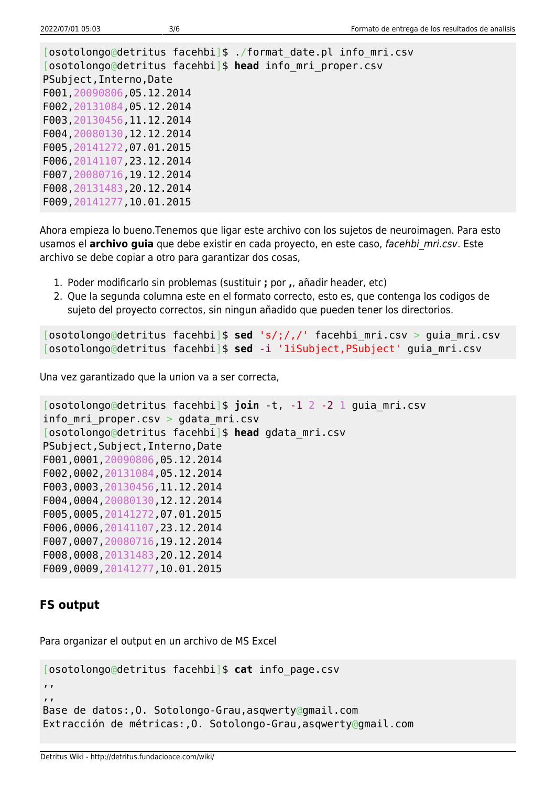[osotolongo@detritus facehbi]\$ ./format\_date.pl info\_mri.csv [osotolongo@detritus facehbi]\$ **head** info\_mri\_proper.csv PSubject,Interno,Date F001,20090806,05.12.2014 F002,20131084,05.12.2014 F003,20130456,11.12.2014 F004,20080130,12.12.2014 F005,20141272,07.01.2015 F006,20141107,23.12.2014 F007,20080716,19.12.2014 F008,20131483,20.12.2014 F009,20141277,10.01.2015

Ahora empieza lo bueno.Tenemos que ligar este archivo con los sujetos de neuroimagen. Para esto usamos el **archivo guia** que debe existir en cada proyecto, en este caso, facehbi mri.csv. Este archivo se debe copiar a otro para garantizar dos cosas,

- 1. Poder modificarlo sin problemas (sustituir **;** por **,**, añadir header, etc)
- 2. Que la segunda columna este en el formato correcto, esto es, que contenga los codigos de sujeto del proyecto correctos, sin ningun añadido que pueden tener los directorios.

[osotolongo@detritus facehbi]\$ **sed** 's/;/,/' facehbi\_mri.csv > guia\_mri.csv [osotolongo@detritus facehbi]\$ **sed** -i '1iSubject,PSubject' guia\_mri.csv

Una vez garantizado que la union va a ser correcta,

```
[osotolongo@detritus facehbi]$ join -t, -1 2 -2 1 guia_mri.csv
info_mri_proper.csv > gdata_mri.csv
[osotolongo@detritus facehbi]$ head gdata_mri.csv
PSubject,Subject,Interno,Date
F001,0001,20090806,05.12.2014
F002,0002,20131084,05.12.2014
F003,0003,20130456,11.12.2014
F004,0004,20080130,12.12.2014
F005,0005,20141272,07.01.2015
F006,0006,20141107,23.12.2014
F007,0007,20080716,19.12.2014
F008,0008,20131483,20.12.2014
F009,0009,20141277,10.01.2015
```
## **FS output**

Para organizar el output en un archivo de MS Excel

```
[osotolongo@detritus facehbi]$ cat info_page.csv
,,
,,
Base de datos:,O. Sotolongo-Grau,asqwerty@gmail.com
Extracción de métricas:,O. Sotolongo-Grau,asqwerty@gmail.com
```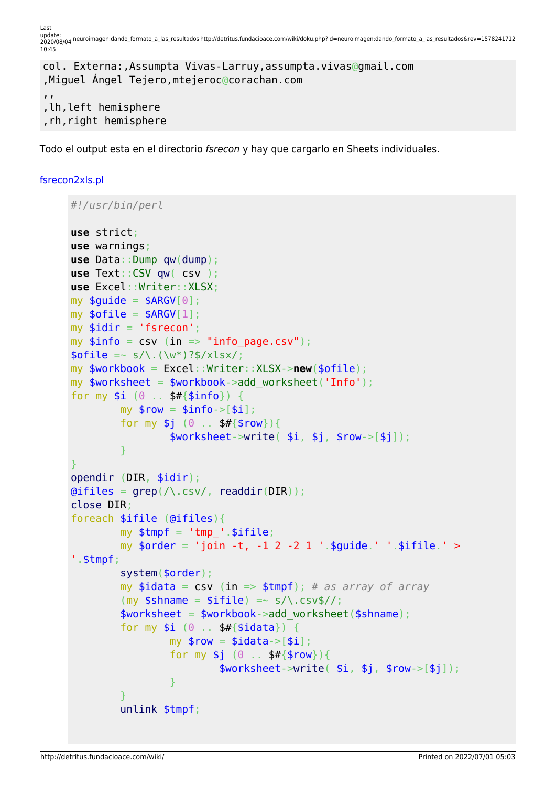Last update:<br>2020/08/04 neuroimagen:dando\_formato\_a\_las\_resultados http://detritus.fundacioace.com/wiki/doku.php?id=neuroimagen:dando\_formato\_a\_las\_resultados&rev=1578241712 10:45

```
col. Externa:,Assumpta Vivas-Larruy,assumpta.vivas@gmail.com
,Miguel Ángel Tejero,mtejeroc@corachan.com
,,
,lh,left hemisphere
,rh,right hemisphere
```
Todo el output esta en el directorio fsrecon y hay que cargarlo en Sheets individuales.

### [fsrecon2xls.pl](http://detritus.fundacioace.com/wiki/doku.php?do=export_code&id=neuroimagen:dando_formato_a_las_resultados&codeblock=8)

```
#!/usr/bin/perl
use strict;
use warnings;
use Data::Dump qw(dump);
use Text::CSV qw( csv );
use Excel::Writer::XLSX;
my $quide = $ARGV[0];my \text{softile} = \text{SARGV[1]};
my $idir = 'fsrecon';
my $info = csv (in =& "info page.csv");\text{folie} = \frac{s}{\sqrt{(w^*)}^3} / x \text{lsx};my $workbook = Excel::Writer::XLSX->new($ofile);
my $worksheet = $workbook->add_worksheet('Info');
for my $i (0 . . $#{5info}) {
         my $row = $info->[$i];for my $j (0 . . $#{$row}) {
                    $worksheet-write( $i, $j, $rowsC- }
}
opendir (DIR, $idir);
grep(\land.csv/readdir(DIR));
close DIR;
foreach $ifile (@ifiles){
         my $tmpf = 'tmp' .$ifile;my \sqrt{3} \sqrt{3} \sqrt{2} \sqrt{2} \sqrt{2} \sqrt{2} \sqrt{2} \sqrt{2} \sqrt{2} \sqrt{2} \sqrt{2} \sqrt{2} \sqrt{2} \sqrt{2} \sqrt{2} \sqrt{2} \sqrt{2} \sqrt{2} \sqrt{2} \sqrt{2} \sqrt{2} \sqrt{2} \sqrt{2} \sqrt{2} \sqrt{2} \sqrt{2} \sqrt{2} \'.$tmpf;
           system($order);
           my $idata = csv (in => $tmpf); # as array of array
          (my $shname = $ifile) =~ s/\.csv$//;
           $worksheet = $workbook->add_worksheet($shname);
          for my $i (0 .. $#{3i}data}) {
                   my $row = $idata->[§i];for my $j (0 \ldots $#{5row} )>write( $i, $j, $rows.]=\{x_i\}_{i=1}^n , where \{x_i\}_{i=1}^n }
           unlink $tmpf;
```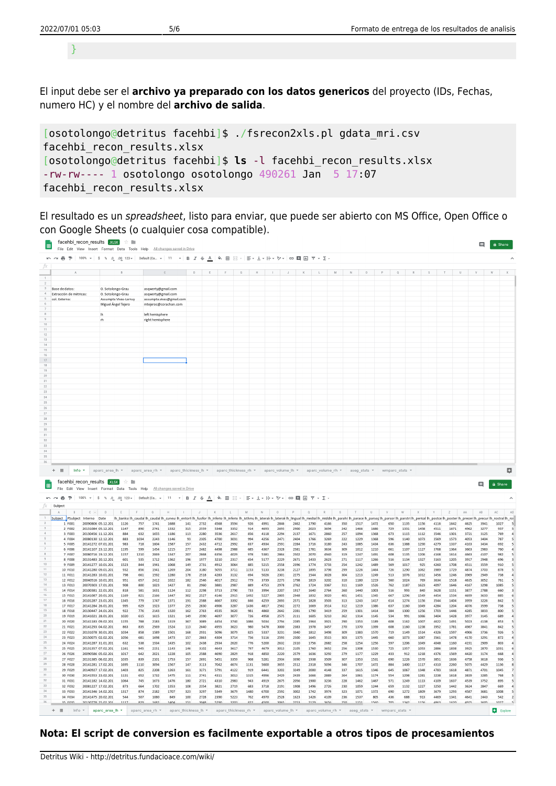}

El input debe ser el **archivo ya preparado con los datos genericos** del proyecto (IDs, Fechas, numero HC) y el nombre del **archivo de salida**.

```
[osotolongo@detritus facehbi]$ ./fsrecon2xls.pl gdata_mri.csv
facehbi_recon_results.xlsx
[osotolongo@detritus facehbi]$ ls -l facehbi_recon_results.xlsx
-rw-rw---- 1 osotolongo osotolongo 490261 Jan 5 17:07
facehbi recon results.xlsx
```
El resultado es un spreadsheet, listo para enviar, que puede ser abierto con MS Office, Open Office o con Google Sheets (o cualquier cosa compatible).



#### **Nota: El script de conversion es facilmente exportable a otros tipos de procesamientos**